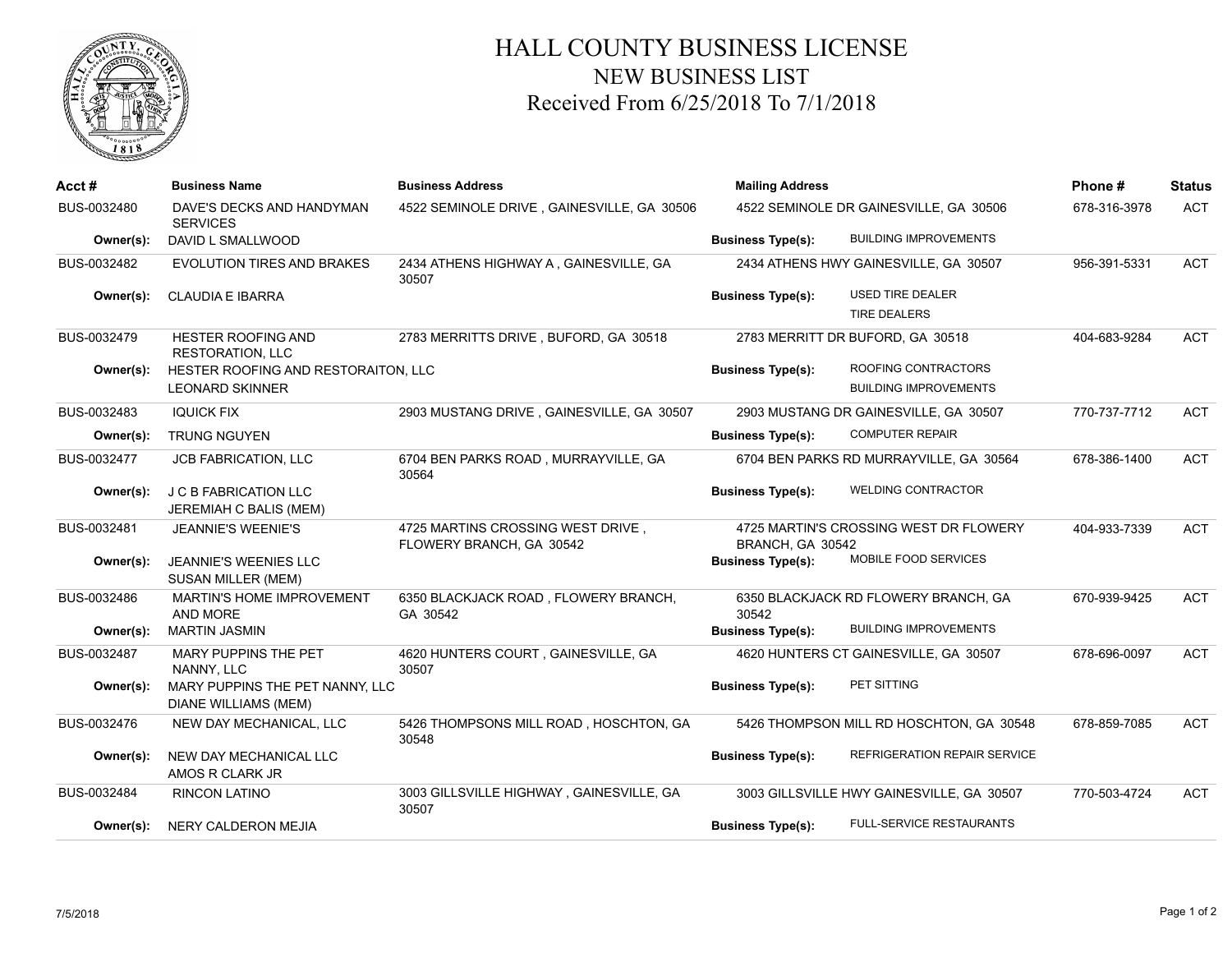

## HALL COUNTY BUSINESS LICENSE NEW BUSINESS LIST Received From 6/25/2018 To 7/1/2018

| Acct#       | <b>Business Name</b>                                    | <b>Business Address</b>                                       | <b>Mailing Address</b><br>4522 SEMINOLE DR GAINESVILLE, GA 30506 |                                           | Phone#       | <b>Status</b> |
|-------------|---------------------------------------------------------|---------------------------------------------------------------|------------------------------------------------------------------|-------------------------------------------|--------------|---------------|
| BUS-0032480 | DAVE'S DECKS AND HANDYMAN<br><b>SERVICES</b>            | 4522 SEMINOLE DRIVE, GAINESVILLE, GA 30506                    |                                                                  |                                           | 678-316-3978 | <b>ACT</b>    |
| Owner(s):   | DAVID L SMALLWOOD                                       |                                                               | <b>Business Type(s):</b>                                         | <b>BUILDING IMPROVEMENTS</b>              |              |               |
| BUS-0032482 | <b>EVOLUTION TIRES AND BRAKES</b>                       | 2434 ATHENS HIGHWAY A, GAINESVILLE, GA<br>30507               | 2434 ATHENS HWY GAINESVILLE, GA 30507                            |                                           | 956-391-5331 | <b>ACT</b>    |
| Owner(s):   | <b>CLAUDIA E IBARRA</b>                                 |                                                               | <b>Business Type(s):</b>                                         | <b>USED TIRE DEALER</b>                   |              |               |
|             |                                                         |                                                               |                                                                  | <b>TIRE DEALERS</b>                       |              |               |
| BUS-0032479 | <b>HESTER ROOFING AND</b><br><b>RESTORATION, LLC</b>    | 2783 MERRITTS DRIVE, BUFORD, GA 30518                         | 2783 MERRITT DR BUFORD, GA 30518                                 |                                           | 404-683-9284 | <b>ACT</b>    |
| Owner(s):   | HESTER ROOFING AND RESTORAITON, LLC                     |                                                               | <b>Business Type(s):</b>                                         | ROOFING CONTRACTORS                       |              |               |
|             | <b>LEONARD SKINNER</b>                                  |                                                               |                                                                  | <b>BUILDING IMPROVEMENTS</b>              |              |               |
| BUS-0032483 | <b>IQUICK FIX</b>                                       | 2903 MUSTANG DRIVE, GAINESVILLE, GA 30507                     | 2903 MUSTANG DR GAINESVILLE, GA 30507                            |                                           | 770-737-7712 | <b>ACT</b>    |
| Owner(s):   | <b>TRUNG NGUYEN</b>                                     |                                                               | <b>Business Type(s):</b>                                         | <b>COMPUTER REPAIR</b>                    |              |               |
| BUS-0032477 | <b>JCB FABRICATION, LLC</b>                             | 6704 BEN PARKS ROAD, MURRAYVILLE, GA<br>30564                 |                                                                  | 6704 BEN PARKS RD MURRAYVILLE, GA 30564   | 678-386-1400 | ACT           |
| Owner(s):   | J C B FABRICATION LLC                                   |                                                               | <b>Business Type(s):</b>                                         | <b>WELDING CONTRACTOR</b>                 |              |               |
|             | JEREMIAH C BALIS (MEM)                                  |                                                               |                                                                  |                                           |              |               |
| BUS-0032481 | <b>JEANNIE'S WEENIE'S</b>                               | 4725 MARTINS CROSSING WEST DRIVE,<br>FLOWERY BRANCH, GA 30542 | 4725 MARTIN'S CROSSING WEST DR FLOWERY<br>BRANCH, GA 30542       |                                           | 404-933-7339 | <b>ACT</b>    |
| Owner(s):   | JEANNIE'S WEENIES LLC<br>SUSAN MILLER (MEM)             |                                                               | <b>Business Type(s):</b>                                         | MOBILE FOOD SERVICES                      |              |               |
| BUS-0032486 | MARTIN'S HOME IMPROVEMENT<br>AND MORE                   | 6350 BLACKJACK ROAD, FLOWERY BRANCH,<br>GA 30542              | 30542                                                            | 6350 BLACKJACK RD FLOWERY BRANCH, GA      | 670-939-9425 | <b>ACT</b>    |
| Owner(s):   | <b>MARTIN JASMIN</b>                                    |                                                               | <b>Business Type(s):</b>                                         | <b>BUILDING IMPROVEMENTS</b>              |              |               |
| BUS-0032487 | MARY PUPPINS THE PET<br>NANNY, LLC                      | 4620 HUNTERS COURT, GAINESVILLE, GA<br>30507                  |                                                                  | 4620 HUNTERS CT GAINESVILLE, GA 30507     | 678-696-0097 | ACT           |
| Owner(s):   | MARY PUPPINS THE PET NANNY, LLC<br>DIANE WILLIAMS (MEM) |                                                               | <b>Business Type(s):</b>                                         | PET SITTING                               |              |               |
| BUS-0032476 | NEW DAY MECHANICAL, LLC                                 | 5426 THOMPSONS MILL ROAD, HOSCHTON, GA<br>30548               |                                                                  | 5426 THOMPSON MILL RD HOSCHTON, GA 30548  | 678-859-7085 | <b>ACT</b>    |
| Owner(s):   | NEW DAY MECHANICAL LLC<br>AMOS R CLARK JR               |                                                               | <b>Business Type(s):</b>                                         | REFRIGERATION REPAIR SERVICE              |              |               |
| BUS-0032484 | <b>RINCON LATINO</b>                                    | 3003 GILLSVILLE HIGHWAY, GAINESVILLE, GA<br>30507             |                                                                  | 3003 GILLSVILLE HWY GAINESVILLE, GA 30507 | 770-503-4724 | <b>ACT</b>    |
| Owner(s):   | <b>NERY CALDERON MEJIA</b>                              |                                                               | <b>Business Type(s):</b>                                         | <b>FULL-SERVICE RESTAURANTS</b>           |              |               |